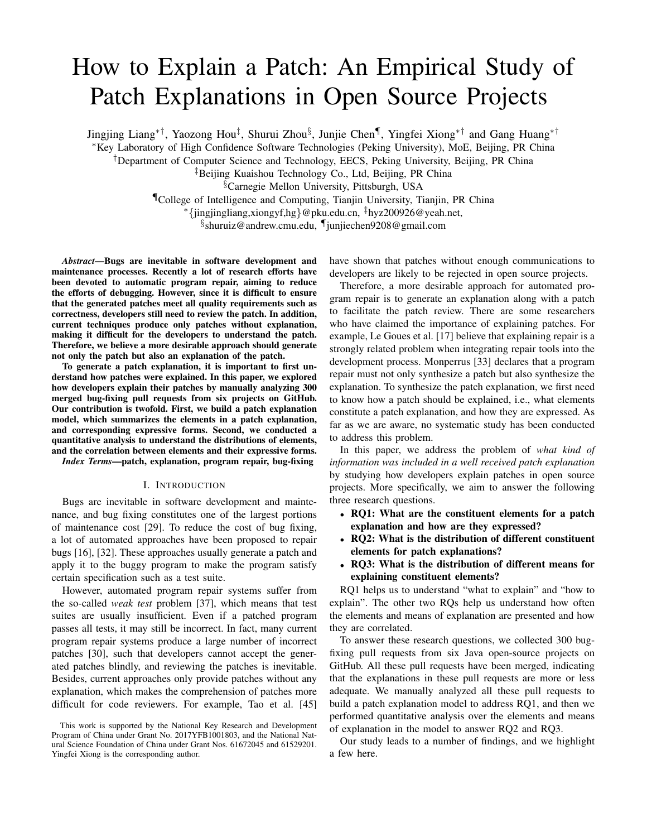# How to Explain a Patch: An Empirical Study of Patch Explanations in Open Source Projects

Jingjing Liang∗†, Yaozong Hou‡ , Shurui Zhou§ , Junjie Chen¶ , Yingfei Xiong∗† and Gang Huang∗†

<sup>∗</sup>Key Laboratory of High Confidence Software Technologies (Peking University), MoE, Beijing, PR China

†Department of Computer Science and Technology, EECS, Peking University, Beijing, PR China

‡Beijing Kuaishou Technology Co., Ltd, Beijing, PR China

§Carnegie Mellon University, Pittsburgh, USA

¶College of Intelligence and Computing, Tianjin University, Tianjin, PR China

<sup>∗</sup>{jingjingliang,xiongyf,hg}@pku.edu.cn, ‡hyz200926@yeah.net,

§ shuruiz@andrew.cmu.edu, ¶junjiechen9208@gmail.com

*Abstract*—Bugs are inevitable in software development and maintenance processes. Recently a lot of research efforts have been devoted to automatic program repair, aiming to reduce the efforts of debugging. However, since it is difficult to ensure that the generated patches meet all quality requirements such as correctness, developers still need to review the patch. In addition, current techniques produce only patches without explanation, making it difficult for the developers to understand the patch. Therefore, we believe a more desirable approach should generate not only the patch but also an explanation of the patch.

To generate a patch explanation, it is important to first understand how patches were explained. In this paper, we explored how developers explain their patches by manually analyzing 300 merged bug-fixing pull requests from six projects on GitHub. Our contribution is twofold. First, we build a patch explanation model, which summarizes the elements in a patch explanation, and corresponding expressive forms. Second, we conducted a quantitative analysis to understand the distributions of elements, and the correlation between elements and their expressive forms.

*Index Terms*—patch, explanation, program repair, bug-fixing

#### I. INTRODUCTION

Bugs are inevitable in software development and maintenance, and bug fixing constitutes one of the largest portions of maintenance cost [29]. To reduce the cost of bug fixing, a lot of automated approaches have been proposed to repair bugs [16], [32]. These approaches usually generate a patch and apply it to the buggy program to make the program satisfy certain specification such as a test suite.

However, automated program repair systems suffer from the so-called *weak test* problem [37], which means that test suites are usually insufficient. Even if a patched program passes all tests, it may still be incorrect. In fact, many current program repair systems produce a large number of incorrect patches [30], such that developers cannot accept the generated patches blindly, and reviewing the patches is inevitable. Besides, current approaches only provide patches without any explanation, which makes the comprehension of patches more difficult for code reviewers. For example, Tao et al. [45]

have shown that patches without enough communications to developers are likely to be rejected in open source projects.

Therefore, a more desirable approach for automated program repair is to generate an explanation along with a patch to facilitate the patch review. There are some researchers who have claimed the importance of explaining patches. For example, Le Goues et al. [17] believe that explaining repair is a strongly related problem when integrating repair tools into the development process. Monperrus [33] declares that a program repair must not only synthesize a patch but also synthesize the explanation. To synthesize the patch explanation, we first need to know how a patch should be explained, i.e., what elements constitute a patch explanation, and how they are expressed. As far as we are aware, no systematic study has been conducted to address this problem.

In this paper, we address the problem of *what kind of information was included in a well received patch explanation* by studying how developers explain patches in open source projects. More specifically, we aim to answer the following three research questions.

- RQ1: What are the constituent elements for a patch explanation and how are they expressed?
- RQ2: What is the distribution of different constituent elements for patch explanations?
- RQ3: What is the distribution of different means for explaining constituent elements?

RQ1 helps us to understand "what to explain" and "how to explain". The other two RQs help us understand how often the elements and means of explanation are presented and how they are correlated.

To answer these research questions, we collected 300 bugfixing pull requests from six Java open-source projects on GitHub. All these pull requests have been merged, indicating that the explanations in these pull requests are more or less adequate. We manually analyzed all these pull requests to build a patch explanation model to address RQ1, and then we performed quantitative analysis over the elements and means of explanation in the model to answer RQ2 and RQ3.

Our study leads to a number of findings, and we highlight a few here.

This work is supported by the National Key Research and Development Program of China under Grant No. 2017YFB1001803, and the National Natural Science Foundation of China under Grant Nos. 61672045 and 61529201. Yingfei Xiong is the corresponding author.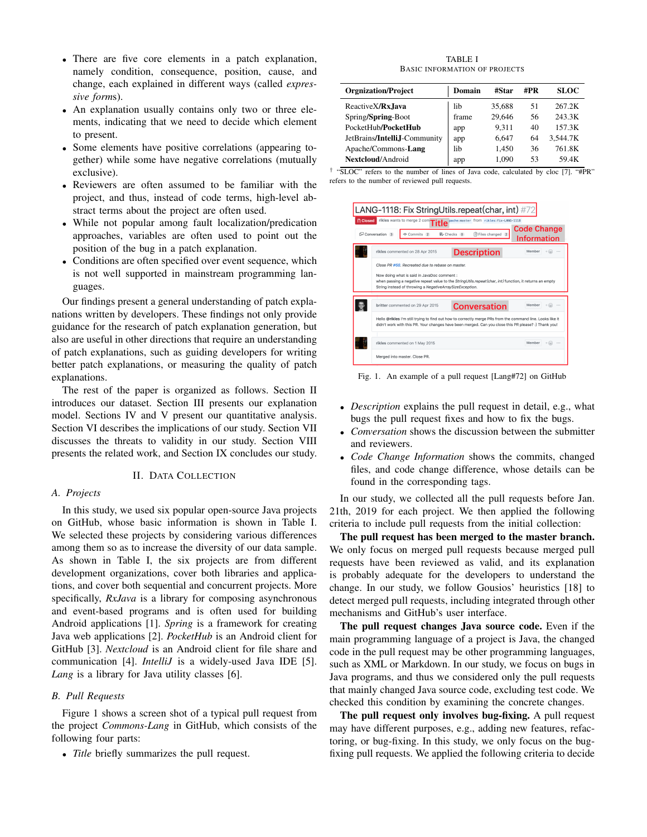- There are five core elements in a patch explanation, namely condition, consequence, position, cause, and change, each explained in different ways (called *expressive form*s).
- An explanation usually contains only two or three elements, indicating that we need to decide which element to present.
- Some elements have positive correlations (appearing together) while some have negative correlations (mutually exclusive).
- Reviewers are often assumed to be familiar with the project, and thus, instead of code terms, high-level abstract terms about the project are often used.
- While not popular among fault localization/predication approaches, variables are often used to point out the position of the bug in a patch explanation.
- Conditions are often specified over event sequence, which is not well supported in mainstream programming languages.

Our findings present a general understanding of patch explanations written by developers. These findings not only provide guidance for the research of patch explanation generation, but also are useful in other directions that require an understanding of patch explanations, such as guiding developers for writing better patch explanations, or measuring the quality of patch explanations.

The rest of the paper is organized as follows. Section II introduces our dataset. Section III presents our explanation model. Sections IV and V present our quantitative analysis. Section VI describes the implications of our study. Section VII discusses the threats to validity in our study. Section VIII presents the related work, and Section IX concludes our study.

# II. DATA COLLECTION

## *A. Projects*

In this study, we used six popular open-source Java projects on GitHub, whose basic information is shown in Table I. We selected these projects by considering various differences among them so as to increase the diversity of our data sample. As shown in Table I, the six projects are from different development organizations, cover both libraries and applications, and cover both sequential and concurrent projects. More specifically, *RxJava* is a library for composing asynchronous and event-based programs and is often used for building Android applications [1]. *Spring* is a framework for creating Java web applications [2]. *PocketHub* is an Android client for GitHub [3]. *Nextcloud* is an Android client for file share and communication [4]. *IntelliJ* is a widely-used Java IDE [5]. *Lang* is a library for Java utility classes [6].

# *B. Pull Requests*

Figure 1 shows a screen shot of a typical pull request from the project *Commons-Lang* in GitHub, which consists of the following four parts:

• *Title* briefly summarizes the pull request.

TABLE I BASIC INFORMATION OF PROJECTS

| <b>Orgnization/Project</b>   | Domain | #Star  | #PR | SLOC     |
|------------------------------|--------|--------|-----|----------|
| Reactive X/ <b>Rx</b> . Java | lib    | 35,688 | 51  | 267 2K   |
| Spring/Spring-Boot           | frame  | 29.646 | 56  | 243 3K   |
| PocketHub/PocketHub          | app    | 9.311  | 40  | 157.3K   |
| JetBrains/IntelliJ-Community | app    | 6.647  | 64  | 3.544.7K |
| Apache/Commons-Lang          | lib.   | 1.450  | 36  | 761 8K   |
| Nextcloud/Android            | app    | 1.090  | 53  | 59.4K    |

|                                                 |  |  |  |  | "SLOC" refers to the number of lines of Java code, calculated by cloc [7]. "#PR" |  |  |
|-------------------------------------------------|--|--|--|--|----------------------------------------------------------------------------------|--|--|
| refers to the number of reviewed pull requests. |  |  |  |  |                                                                                  |  |  |



Fig. 1. An example of a pull request [Lang#72] on GitHub

- *Description* explains the pull request in detail, e.g., what bugs the pull request fixes and how to fix the bugs.
- *Conversation* shows the discussion between the submitter and reviewers.
- *Code Change Information* shows the commits, changed files, and code change difference, whose details can be found in the corresponding tags.

In our study, we collected all the pull requests before Jan. 21th, 2019 for each project. We then applied the following criteria to include pull requests from the initial collection:

The pull request has been merged to the master branch. We only focus on merged pull requests because merged pull requests have been reviewed as valid, and its explanation is probably adequate for the developers to understand the change. In our study, we follow Gousios' heuristics [18] to detect merged pull requests, including integrated through other mechanisms and GitHub's user interface.

The pull request changes Java source code. Even if the main programming language of a project is Java, the changed code in the pull request may be other programming languages, such as XML or Markdown. In our study, we focus on bugs in Java programs, and thus we considered only the pull requests that mainly changed Java source code, excluding test code. We checked this condition by examining the concrete changes.

The pull request only involves bug-fixing. A pull request may have different purposes, e.g., adding new features, refactoring, or bug-fixing. In this study, we only focus on the bugfixing pull requests. We applied the following criteria to decide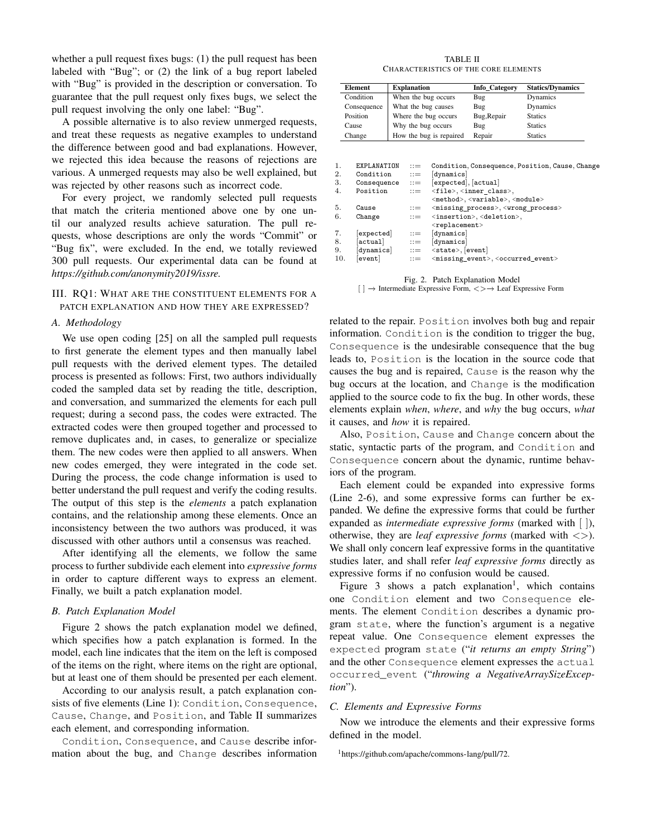whether a pull request fixes bugs: (1) the pull request has been labeled with "Bug"; or (2) the link of a bug report labeled with "Bug" is provided in the description or conversation. To guarantee that the pull request only fixes bugs, we select the pull request involving the only one label: "Bug".

A possible alternative is to also review unmerged requests, and treat these requests as negative examples to understand the difference between good and bad explanations. However, we rejected this idea because the reasons of rejections are various. A unmerged requests may also be well explained, but was rejected by other reasons such as incorrect code.

For every project, we randomly selected pull requests that match the criteria mentioned above one by one until our analyzed results achieve saturation. The pull requests, whose descriptions are only the words "Commit" or "Bug fix", were excluded. In the end, we totally reviewed 300 pull requests. Our experimental data can be found at *https://github.com/anonymity2019/issre.*

# III. RQ1: WHAT ARE THE CONSTITUENT ELEMENTS FOR A PATCH EXPLANATION AND HOW THEY ARE EXPRESSED?

### *A. Methodology*

We use open coding [25] on all the sampled pull requests to first generate the element types and then manually label pull requests with the derived element types. The detailed process is presented as follows: First, two authors individually coded the sampled data set by reading the title, description, and conversation, and summarized the elements for each pull request; during a second pass, the codes were extracted. The extracted codes were then grouped together and processed to remove duplicates and, in cases, to generalize or specialize them. The new codes were then applied to all answers. When new codes emerged, they were integrated in the code set. During the process, the code change information is used to better understand the pull request and verify the coding results. The output of this step is the *elements* a patch explanation contains, and the relationship among these elements. Once an inconsistency between the two authors was produced, it was discussed with other authors until a consensus was reached.

After identifying all the elements, we follow the same process to further subdivide each element into *expressive forms* in order to capture different ways to express an element. Finally, we built a patch explanation model.

# *B. Patch Explanation Model*

Figure 2 shows the patch explanation model we defined, which specifies how a patch explanation is formed. In the model, each line indicates that the item on the left is composed of the items on the right, where items on the right are optional, but at least one of them should be presented per each element.

According to our analysis result, a patch explanation consists of five elements (Line 1): Condition, Consequence, Cause, Change, and Position, and Table II summarizes each element, and corresponding information.

Condition, Consequence, and Cause describe information about the bug, and Change describes information

TABLE II CHARACTERISTICS OF THE CORE ELEMENTS

| <b>Element</b>                      | <b>Explanation</b>               |                                   |                         | Info Category                                                                                                           | <b>Statics/Dynamics</b>                         |
|-------------------------------------|----------------------------------|-----------------------------------|-------------------------|-------------------------------------------------------------------------------------------------------------------------|-------------------------------------------------|
| Condition                           |                                  |                                   | When the bug occurs     | Bug                                                                                                                     | Dynamics                                        |
| Consequence                         |                                  | What the bug causes               |                         | Bug                                                                                                                     | Dynamics                                        |
| Position                            |                                  |                                   | Where the bug occurs    | Bug, Repair                                                                                                             | <b>Statics</b>                                  |
| Cause                               |                                  | Why the bug occurs                |                         | Bug                                                                                                                     | <b>Statics</b>                                  |
| Change                              |                                  |                                   | How the bug is repaired | Repair                                                                                                                  | <b>Statics</b>                                  |
| 1.<br>$\overline{2}$ .<br>Condition | EXPLANATION                      | $\cdots$<br>$\mathrel{\mathop:}=$ | dynamics                |                                                                                                                         |                                                 |
|                                     |                                  |                                   |                         |                                                                                                                         | Condition, Consequence, Position, Cause, Change |
| 3.                                  | $\texttt{Consequence} \quad ::=$ |                                   | [expected], [actual]    |                                                                                                                         |                                                 |
| 4.<br>Position                      |                                  | $\cdots$                          |                         | <file>,<inner_class>,</inner_class></file>                                                                              |                                                 |
|                                     |                                  |                                   |                         | <method>,<variable>,<module></module></variable></method>                                                               |                                                 |
| 5.<br>Cause<br>6.<br>Change         |                                  | $\cdots$<br>$\cdots$              |                         | <missing_process>,<wrong_process><br/><insertion>, <deletion>,</deletion></insertion></wrong_process></missing_process> |                                                 |
|                                     |                                  |                                   | $<$ replacement>        |                                                                                                                         |                                                 |
| 7.<br>expected                      |                                  | $\mathrel{\mathop:}=$             | dynamics                |                                                                                                                         |                                                 |
| 8.<br>actual                        |                                  | $\mathbf{m}$                      | [dynamics]              |                                                                                                                         |                                                 |

Fig. 2. Patch Explanation Model [ ] −→ Intermediate Expressive Form, <>−→ Leaf Expressive Form

10.  $[event]$  ::=  $\langle missing\_event \rangle, \langle occurred\_event \rangle$ 

related to the repair. Position involves both bug and repair information. Condition is the condition to trigger the bug, Consequence is the undesirable consequence that the bug leads to, Position is the location in the source code that causes the bug and is repaired, Cause is the reason why the bug occurs at the location, and Change is the modification applied to the source code to fix the bug. In other words, these elements explain *when*, *where*, and *why* the bug occurs, *what* it causes, and *how* it is repaired.

Also, Position, Cause and Change concern about the static, syntactic parts of the program, and Condition and Consequence concern about the dynamic, runtime behaviors of the program.

Each element could be expanded into expressive forms (Line 2-6), and some expressive forms can further be expanded. We define the expressive forms that could be further expanded as *intermediate expressive forms* (marked with [ ]), otherwise, they are *leaf expressive forms* (marked with <>). We shall only concern leaf expressive forms in the quantitative studies later, and shall refer *leaf expressive forms* directly as expressive forms if no confusion would be caused.

Figure 3 shows a patch explanation<sup>1</sup>, which contains one Condition element and two Consequence elements. The element Condition describes a dynamic program state, where the function's argument is a negative repeat value. One Consequence element expresses the expected program state ("*it returns an empty String*") and the other Consequence element expresses the actual occurred\_event ("*throwing a NegativeArraySizeException*").

# *C. Elements and Expressive Forms*

Now we introduce the elements and their expressive forms defined in the model.

<sup>1</sup>https://github.com/apache/commons-lang/pull/72.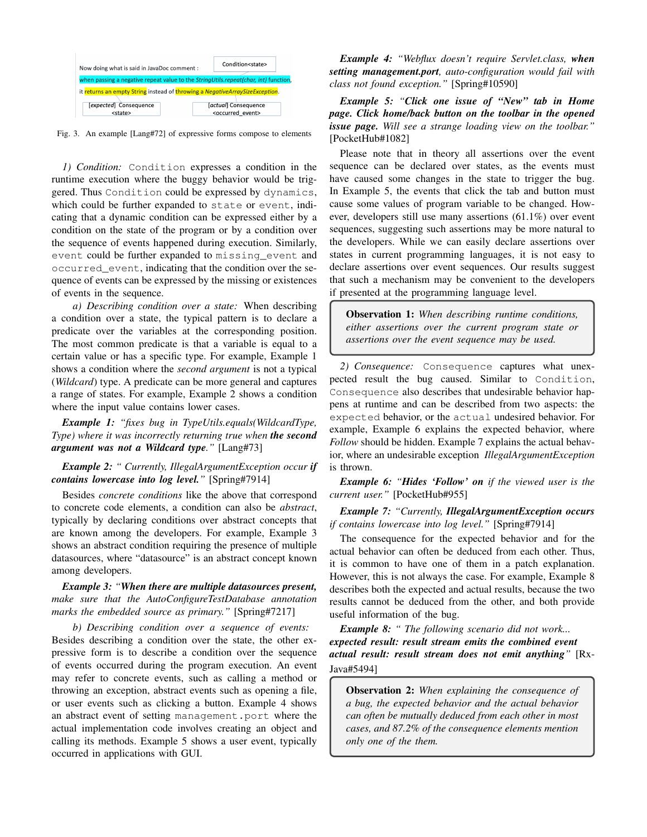

Fig. 3. An example [Lang#72] of expressive forms compose to elements

*1) Condition:* Condition expresses a condition in the runtime execution where the buggy behavior would be triggered. Thus Condition could be expressed by dynamics, which could be further expanded to state or event, indicating that a dynamic condition can be expressed either by a condition on the state of the program or by a condition over the sequence of events happened during execution. Similarly, event could be further expanded to missing\_event and occurred\_event, indicating that the condition over the sequence of events can be expressed by the missing or existences of events in the sequence.

*a) Describing condition over a state:* When describing a condition over a state, the typical pattern is to declare a predicate over the variables at the corresponding position. The most common predicate is that a variable is equal to a certain value or has a specific type. For example, Example 1 shows a condition where the *second argument* is not a typical (*Wildcard*) type. A predicate can be more general and captures a range of states. For example, Example 2 shows a condition where the input value contains lower cases.

*Example 1: "fixes bug in TypeUtils.equals(WildcardType, Type) where it was incorrectly returning true when the second argument was not a Wildcard type."* [Lang#73]

# *Example 2: " Currently, IllegalArgumentException occur if contains lowercase into log level."* [Spring#7914]

Besides *concrete conditions* like the above that correspond to concrete code elements, a condition can also be *abstract*, typically by declaring conditions over abstract concepts that are known among the developers. For example, Example 3 shows an abstract condition requiring the presence of multiple datasources, where "datasource" is an abstract concept known among developers.

# *Example 3: "When there are multiple datasources present, make sure that the AutoConfigureTestDatabase annotation marks the embedded source as primary."* [Spring#7217]

*b) Describing condition over a sequence of events:* Besides describing a condition over the state, the other expressive form is to describe a condition over the sequence of events occurred during the program execution. An event may refer to concrete events, such as calling a method or throwing an exception, abstract events such as opening a file, or user events such as clicking a button. Example 4 shows an abstract event of setting management.port where the actual implementation code involves creating an object and calling its methods. Example 5 shows a user event, typically occurred in applications with GUI.

*Example 4: "Webflux doesn't require Servlet.class, when setting management.port, auto-configuration would fail with class not found exception."* [Spring#10590]

*Example 5: "Click one issue of "New" tab in Home page. Click home/back button on the toolbar in the opened issue page. Will see a strange loading view on the toolbar."* [PocketHub#1082]

Please note that in theory all assertions over the event sequence can be declared over states, as the events must have caused some changes in the state to trigger the bug. In Example 5, the events that click the tab and button must cause some values of program variable to be changed. However, developers still use many assertions (61.1%) over event sequences, suggesting such assertions may be more natural to the developers. While we can easily declare assertions over states in current programming languages, it is not easy to declare assertions over event sequences. Our results suggest that such a mechanism may be convenient to the developers if presented at the programming language level.

Observation 1: *When describing runtime conditions, either assertions over the current program state or assertions over the event sequence may be used.*

*2) Consequence:* Consequence captures what unexpected result the bug caused. Similar to Condition, Consequence also describes that undesirable behavior happens at runtime and can be described from two aspects: the expected behavior, or the actual undesired behavior. For example, Example 6 explains the expected behavior, where *Follow* should be hidden. Example 7 explains the actual behavior, where an undesirable exception *IllegalArgumentException* is thrown.

*Example 6: "Hides 'Follow' on if the viewed user is the current user."* [PocketHub#955]

# *Example 7: "Currently, IllegalArgumentException occurs if contains lowercase into log level."* [Spring#7914]

The consequence for the expected behavior and for the actual behavior can often be deduced from each other. Thus, it is common to have one of them in a patch explanation. However, this is not always the case. For example, Example 8 describes both the expected and actual results, because the two results cannot be deduced from the other, and both provide useful information of the bug.

*Example 8: " The following scenario did not work... expected result: result stream emits the combined event actual result: result stream does not emit anything"* [Rx-Java#5494]

Observation 2: *When explaining the consequence of a bug, the expected behavior and the actual behavior can often be mutually deduced from each other in most cases, and 87.2% of the consequence elements mention only one of the them.*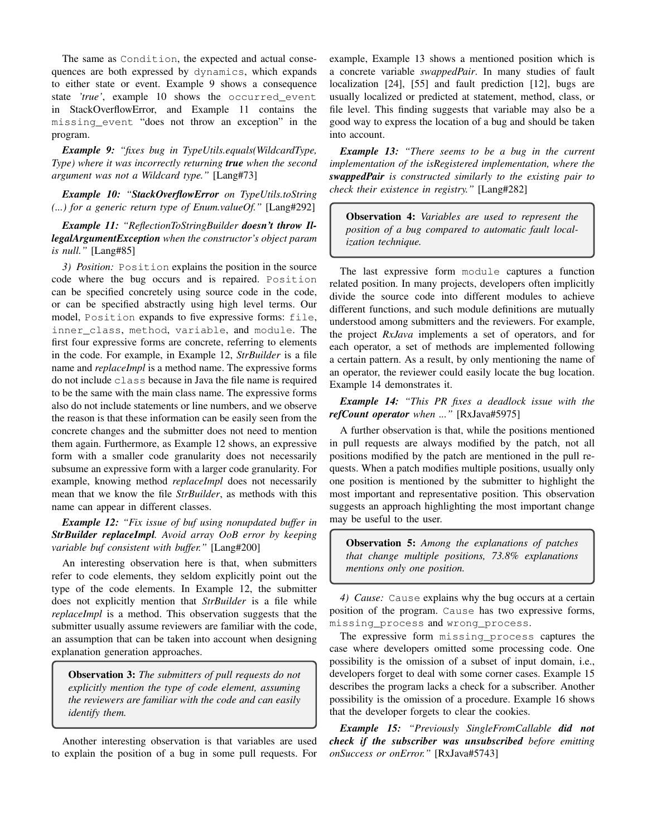The same as Condition, the expected and actual consequences are both expressed by dynamics, which expands to either state or event. Example 9 shows a consequence state *'true'*, example 10 shows the occurred\_event in StackOverflowError, and Example 11 contains the missing\_event "does not throw an exception" in the program.

*Example 9: "fixes bug in TypeUtils.equals(WildcardType, Type) where it was incorrectly returning true when the second argument was not a Wildcard type."* [Lang#73]

*Example 10: "StackOverflowError on TypeUtils.toString (...) for a generic return type of Enum.valueOf."* [Lang#292]

*Example 11: "ReflectionToStringBuilder doesn't throw IllegalArgumentException when the constructor's object param is null."* [Lang#85]

*3) Position:* Position explains the position in the source code where the bug occurs and is repaired. Position can be specified concretely using source code in the code, or can be specified abstractly using high level terms. Our model, Position expands to five expressive forms: file, inner\_class, method, variable, and module. The first four expressive forms are concrete, referring to elements in the code. For example, in Example 12, *StrBuilder* is a file name and *replaceImpl* is a method name. The expressive forms do not include class because in Java the file name is required to be the same with the main class name. The expressive forms also do not include statements or line numbers, and we observe the reason is that these information can be easily seen from the concrete changes and the submitter does not need to mention them again. Furthermore, as Example 12 shows, an expressive form with a smaller code granularity does not necessarily subsume an expressive form with a larger code granularity. For example, knowing method *replaceImpl* does not necessarily mean that we know the file *StrBuilder*, as methods with this name can appear in different classes.

*Example 12: "Fix issue of buf using nonupdated buffer in StrBuilder replaceImpl. Avoid array OoB error by keeping variable buf consistent with buffer."* [Lang#200]

An interesting observation here is that, when submitters refer to code elements, they seldom explicitly point out the type of the code elements. In Example 12, the submitter does not explicitly mention that *StrBuilder* is a file while *replaceImpl* is a method. This observation suggests that the submitter usually assume reviewers are familiar with the code, an assumption that can be taken into account when designing explanation generation approaches.

Observation 3: *The submitters of pull requests do not explicitly mention the type of code element, assuming the reviewers are familiar with the code and can easily identify them.*

Another interesting observation is that variables are used to explain the position of a bug in some pull requests. For example, Example 13 shows a mentioned position which is a concrete variable *swappedPair*. In many studies of fault localization [24], [55] and fault prediction [12], bugs are usually localized or predicted at statement, method, class, or file level. This finding suggests that variable may also be a good way to express the location of a bug and should be taken into account.

*Example 13: "There seems to be a bug in the current implementation of the isRegistered implementation, where the swappedPair is constructed similarly to the existing pair to check their existence in registry."* [Lang#282]

Observation 4: *Variables are used to represent the position of a bug compared to automatic fault localization technique.*

The last expressive form module captures a function related position. In many projects, developers often implicitly divide the source code into different modules to achieve different functions, and such module definitions are mutually understood among submitters and the reviewers. For example, the project *RxJava* implements a set of operators, and for each operator, a set of methods are implemented following a certain pattern. As a result, by only mentioning the name of an operator, the reviewer could easily locate the bug location. Example 14 demonstrates it.

*Example 14: "This PR fixes a deadlock issue with the refCount operator when ..."* [RxJava#5975]

A further observation is that, while the positions mentioned in pull requests are always modified by the patch, not all positions modified by the patch are mentioned in the pull requests. When a patch modifies multiple positions, usually only one position is mentioned by the submitter to highlight the most important and representative position. This observation suggests an approach highlighting the most important change may be useful to the user.

Observation 5: *Among the explanations of patches that change multiple positions, 73.8% explanations mentions only one position.*

*4) Cause:* Cause explains why the bug occurs at a certain position of the program. Cause has two expressive forms, missing\_process and wrong\_process.

The expressive form missing\_process captures the case where developers omitted some processing code. One possibility is the omission of a subset of input domain, i.e., developers forget to deal with some corner cases. Example 15 describes the program lacks a check for a subscriber. Another possibility is the omission of a procedure. Example 16 shows that the developer forgets to clear the cookies.

*Example 15: "Previously SingleFromCallable did not check if the subscriber was unsubscribed before emitting onSuccess or onError."* [RxJava#5743]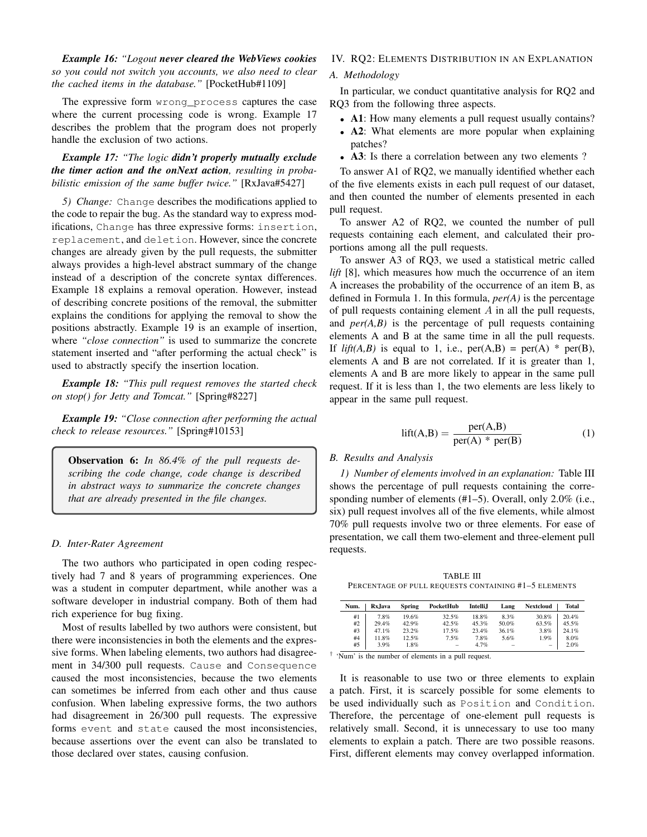*Example 16: "Logout never cleared the WebViews cookies so you could not switch you accounts, we also need to clear the cached items in the database."* [PocketHub#1109]

The expressive form wrong\_process captures the case where the current processing code is wrong. Example 17 describes the problem that the program does not properly handle the exclusion of two actions.

# *Example 17: "The logic didn't properly mutually exclude the timer action and the onNext action, resulting in probabilistic emission of the same buffer twice."* [RxJava#5427]

*5) Change:* Change describes the modifications applied to the code to repair the bug. As the standard way to express modifications, Change has three expressive forms: insertion, replacement, and deletion. However, since the concrete changes are already given by the pull requests, the submitter always provides a high-level abstract summary of the change instead of a description of the concrete syntax differences. Example 18 explains a removal operation. However, instead of describing concrete positions of the removal, the submitter explains the conditions for applying the removal to show the positions abstractly. Example 19 is an example of insertion, where *"close connection"* is used to summarize the concrete statement inserted and "after performing the actual check" is used to abstractly specify the insertion location.

*Example 18: "This pull request removes the started check on stop() for Jetty and Tomcat."* [Spring#8227]

*Example 19: "Close connection after performing the actual check to release resources."* [Spring#10153]

Observation 6: *In 86.4% of the pull requests describing the code change, code change is described in abstract ways to summarize the concrete changes that are already presented in the file changes.*

#### *D. Inter-Rater Agreement*

The two authors who participated in open coding respectively had 7 and 8 years of programming experiences. One was a student in computer department, while another was a software developer in industrial company. Both of them had rich experience for bug fixing.

Most of results labelled by two authors were consistent, but there were inconsistencies in both the elements and the expressive forms. When labeling elements, two authors had disagreement in 34/300 pull requests. Cause and Consequence caused the most inconsistencies, because the two elements can sometimes be inferred from each other and thus cause confusion. When labeling expressive forms, the two authors had disagreement in 26/300 pull requests. The expressive forms event and state caused the most inconsistencies, because assertions over the event can also be translated to those declared over states, causing confusion.

# IV. RQ2: ELEMENTS DISTRIBUTION IN AN EXPLANATION

## *A. Methodology*

In particular, we conduct quantitative analysis for RQ2 and RQ3 from the following three aspects.

- A1: How many elements a pull request usually contains?
- A2: What elements are more popular when explaining patches?
- A3: Is there a correlation between any two elements ?

To answer A1 of RQ2, we manually identified whether each of the five elements exists in each pull request of our dataset, and then counted the number of elements presented in each pull request.

To answer A2 of RQ2, we counted the number of pull requests containing each element, and calculated their proportions among all the pull requests.

To answer A3 of RQ3, we used a statistical metric called *lift* [8], which measures how much the occurrence of an item A increases the probability of the occurrence of an item B, as defined in Formula 1. In this formula, *per(A)* is the percentage of pull requests containing element  $A$  in all the pull requests, and *per(A,B)* is the percentage of pull requests containing elements A and B at the same time in all the pull requests. If *lift(A,B)* is equal to 1, i.e.,  $per(A,B) = per(A) * per(B)$ , elements A and B are not correlated. If it is greater than 1, elements A and B are more likely to appear in the same pull request. If it is less than 1, the two elements are less likely to appear in the same pull request.

$$
lift(A,B) = \frac{per(A,B)}{per(A) * per(B)}
$$
 (1)

# *B. Results and Analysis*

*1) Number of elements involved in an explanation:* Table III shows the percentage of pull requests containing the corresponding number of elements (#1–5). Overall, only 2.0% (i.e., six) pull request involves all of the five elements, while almost 70% pull requests involve two or three elements. For ease of presentation, we call them two-element and three-element pull requests.

TABLE III PERCENTAGE OF PULL REQUESTS CONTAINING #1–5 ELEMENTS

| Num. | Rx.Java | Spring | PocketHub | <b>Intelli.I</b> | Lang     | <b>Nextcloud</b>  | <b>Total</b> |
|------|---------|--------|-----------|------------------|----------|-------------------|--------------|
| #1   | 7.8%    | 19.6%  | 32.5%     | 18.8%            | 8.3%     | 30.8%             | 20.4%        |
| #2   | 29.4%   | 42.9%  | 42.5%     | 45.3%            | 50.0%    | 63.5%             | 45.5%        |
| #3   | 47.1%   | 23.2%  | 17.5%     | 23.4%            | 36.1%    | 3.8%              | 24.1%        |
| #4   | 11.8%   | 12.5%  | 7.5%      | 7.8%             | 5.6%     | 1.9%              | 8.0%         |
| #5   | 3.9%    | 1.8%   | $\equiv$  | 4.7%             | $\equiv$ | $\qquad \qquad =$ | 2.0%         |

† 'Num' is the number of elements in a pull request.

It is reasonable to use two or three elements to explain a patch. First, it is scarcely possible for some elements to be used individually such as Position and Condition. Therefore, the percentage of one-element pull requests is relatively small. Second, it is unnecessary to use too many elements to explain a patch. There are two possible reasons. First, different elements may convey overlapped information.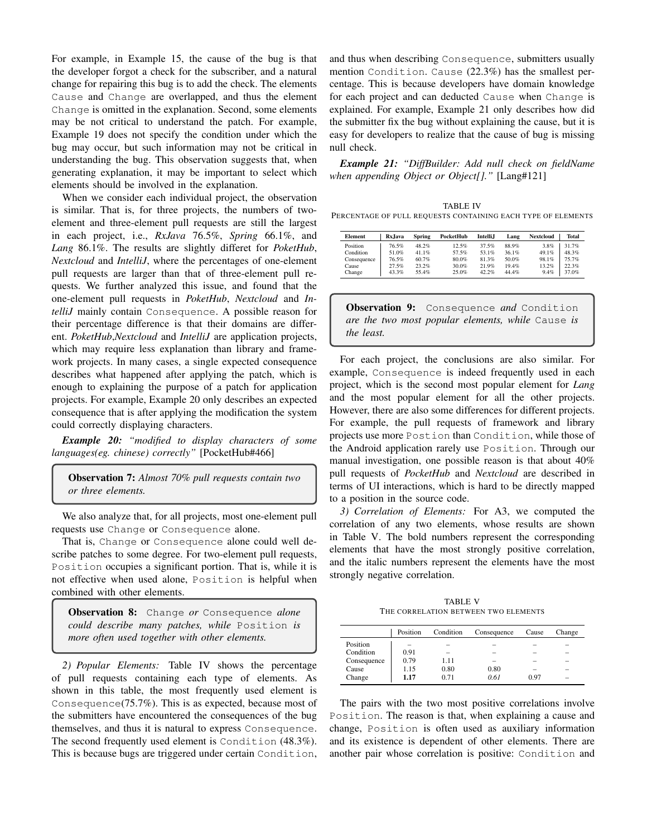For example, in Example 15, the cause of the bug is that the developer forgot a check for the subscriber, and a natural change for repairing this bug is to add the check. The elements Cause and Change are overlapped, and thus the element Change is omitted in the explanation. Second, some elements may be not critical to understand the patch. For example, Example 19 does not specify the condition under which the bug may occur, but such information may not be critical in understanding the bug. This observation suggests that, when generating explanation, it may be important to select which elements should be involved in the explanation.

When we consider each individual project, the observation is similar. That is, for three projects, the numbers of twoelement and three-element pull requests are still the largest in each project, i.e., *RxJava* 76.5%, *Spring* 66.1%, and *Lang* 86.1%. The results are slightly differet for *PoketHub*, *Nextcloud* and *IntelliJ*, where the percentages of one-element pull requests are larger than that of three-element pull requests. We further analyzed this issue, and found that the one-element pull requests in *PoketHub*, *Nextcloud* and *IntelliJ* mainly contain Consequence. A possible reason for their percentage difference is that their domains are different. *PoketHub*,*Nextcloud* and *IntelliJ* are application projects, which may require less explanation than library and framework projects. In many cases, a single expected consequence describes what happened after applying the patch, which is enough to explaining the purpose of a patch for application projects. For example, Example 20 only describes an expected consequence that is after applying the modification the system could correctly displaying characters.

*Example 20: "modified to display characters of some languages(eg. chinese) correctly"* [PocketHub#466]

Observation 7: *Almost 70% pull requests contain two or three elements.*

We also analyze that, for all projects, most one-element pull requests use Change or Consequence alone.

That is, Change or Consequence alone could well describe patches to some degree. For two-element pull requests, Position occupies a significant portion. That is, while it is not effective when used alone, Position is helpful when combined with other elements.

Observation 8: Change *or* Consequence *alone could describe many patches, while* Position *is more often used together with other elements.*

*2) Popular Elements:* Table IV shows the percentage of pull requests containing each type of elements. As shown in this table, the most frequently used element is Consequence(75.7%). This is as expected, because most of the submitters have encountered the consequences of the bug themselves, and thus it is natural to express Consequence. The second frequently used element is Condition (48.3%). This is because bugs are triggered under certain Condition,

and thus when describing Consequence, submitters usually mention Condition. Cause (22.3%) has the smallest percentage. This is because developers have domain knowledge for each project and can deducted Cause when Change is explained. For example, Example 21 only describes how did the submitter fix the bug without explaining the cause, but it is easy for developers to realize that the cause of bug is missing null check.

*Example 21: "DiffBuilder: Add null check on fieldName when appending Object or Object[]."* [Lang#121]

| <b>TABLE IV</b>                                              |
|--------------------------------------------------------------|
| PERCENTAGE OF PULL REQUESTS CONTAINING EACH TYPE OF ELEMENTS |

| <b>Element</b> | Rx.Iava | <b>Spring</b> | PocketHub | <b>Intelli.I</b> | Lang  | <b>Nextcloud</b> | <b>Total</b> |
|----------------|---------|---------------|-----------|------------------|-------|------------------|--------------|
| Position       | 76.5%   | 48.2%         | 12.5%     | 37.5%            | 88.9% | 3.8%             | 31.7%        |
| Condition      | 51.0%   | 41.1%         | 57.5%     | 53.1%            | 36.1% | 49.1%            | 48.3%        |
| Consequence    | 76.5%   | 60.7%         | 80.0%     | 81.3%            | 50.0% | 98.1%            | 75.7%        |
| Cause          | 27.5%   | 23.2%         | 30.0%     | 21.9%            | 19.4% | 13.2%            | 22.3%        |
| Change         | 43.3%   | 55.4%         | 25.0%     | 42.2%            | 44.4% | 9.4%             | 37.0%        |

Observation 9: Consequence *and* Condition *are the two most popular elements, while* Cause *is the least.*

For each project, the conclusions are also similar. For example, Consequence is indeed frequently used in each project, which is the second most popular element for *Lang* and the most popular element for all the other projects. However, there are also some differences for different projects. For example, the pull requests of framework and library projects use more Postion than Condition, while those of the Android application rarely use Position. Through our manual investigation, one possible reason is that about 40% pull requests of *PocketHub* and *Nextcloud* are described in terms of UI interactions, which is hard to be directly mapped to a position in the source code.

*3) Correlation of Elements:* For A3, we computed the correlation of any two elements, whose results are shown in Table V. The bold numbers represent the corresponding elements that have the most strongly positive correlation, and the italic numbers represent the elements have the most strongly negative correlation.

TABLE V THE CORRELATION BETWEEN TWO ELEMENTS

|             | Position | Condition | Consequence | Cause | Change                   |
|-------------|----------|-----------|-------------|-------|--------------------------|
| Position    | -        | -         | -           | -     | -                        |
| Condition   | 0.91     | -         | -           | -     | -                        |
| Consequence | 0.79     | 1.11      | -           | -     | -                        |
| Cause       | 1.15     | 0.80      | 0.80        | -     | -                        |
| Change      | 1.17     | 0.71      | 0.61        | 0.97  | $\overline{\phantom{a}}$ |

The pairs with the two most positive correlations involve Position. The reason is that, when explaining a cause and change, Position is often used as auxiliary information and its existence is dependent of other elements. There are another pair whose correlation is positive: Condition and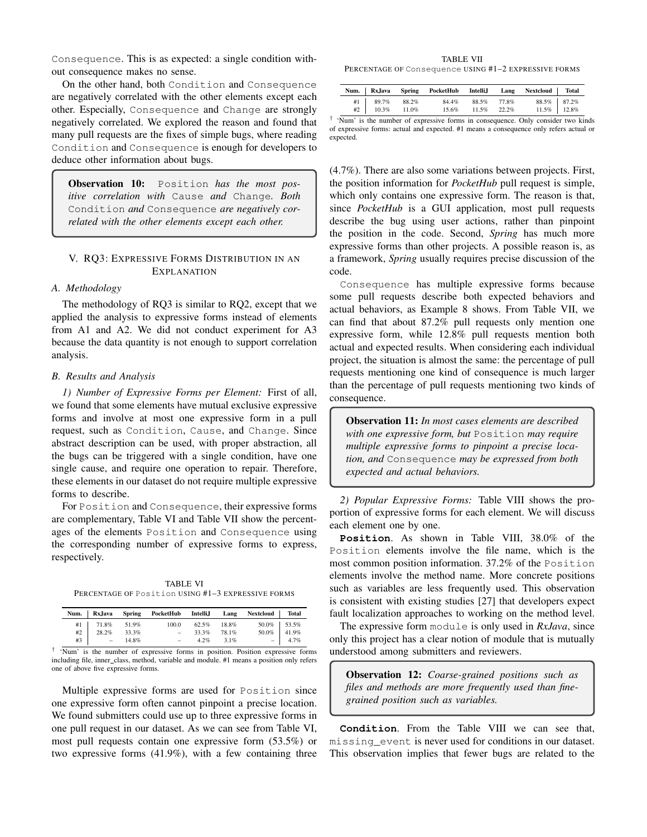Consequence. This is as expected: a single condition without consequence makes no sense.

On the other hand, both Condition and Consequence are negatively correlated with the other elements except each other. Especially, Consequence and Change are strongly negatively correlated. We explored the reason and found that many pull requests are the fixes of simple bugs, where reading Condition and Consequence is enough for developers to deduce other information about bugs.

Observation 10: Position *has the most positive correlation with* Cause *and* Change*. Both* Condition *and* Consequence *are negatively correlated with the other elements except each other.*

# V. RQ3: EXPRESSIVE FORMS DISTRIBUTION IN AN EXPLANATION

## *A. Methodology*

The methodology of RQ3 is similar to RQ2, except that we applied the analysis to expressive forms instead of elements from A1 and A2. We did not conduct experiment for A3 because the data quantity is not enough to support correlation analysis.

## *B. Results and Analysis*

*1) Number of Expressive Forms per Element:* First of all, we found that some elements have mutual exclusive expressive forms and involve at most one expressive form in a pull request, such as Condition, Cause, and Change. Since abstract description can be used, with proper abstraction, all the bugs can be triggered with a single condition, have one single cause, and require one operation to repair. Therefore, these elements in our dataset do not require multiple expressive forms to describe.

For Position and Consequence, their expressive forms are complementary, Table VI and Table VII show the percentages of the elements Position and Consequence using the corresponding number of expressive forms to express, respectively.

TABLE VI PERCENTAGE OF Position USING #1–3 EXPRESSIVE FORMS

|                                                                                                   | Num. RxJava Spring PocketHub IntelliJ Lang Nextcloud Total |                |       |                                                               |  |
|---------------------------------------------------------------------------------------------------|------------------------------------------------------------|----------------|-------|---------------------------------------------------------------|--|
|                                                                                                   | 100.0                                                      | 62.5% 18.8%    |       | 50.0%   53.5%                                                 |  |
| $\left.\begin{array}{c cc} \#1 & & 71.8\% & 51.9\% \\ \#2 & & 28.2\% & 33.3\% \end{array}\right.$ | <b>Contract Contract</b>                                   | 33.3%          | 78.1% | $\begin{array}{c c} 50.0\% & 41.9\% \\ - & 4.7\% \end{array}$ |  |
| $#3$ $- 14.8\%$                                                                                   |                                                            | $-4.2\%$ 3.1\% |       |                                                               |  |

† 'Num' is the number of expressive forms in position. Position expressive forms including file, inner\_class, method, variable and module. #1 means a position only refers one of above five expressive forms.

Multiple expressive forms are used for Position since one expressive form often cannot pinpoint a precise location. We found submitters could use up to three expressive forms in one pull request in our dataset. As we can see from Table VI, most pull requests contain one expressive form (53.5%) or two expressive forms (41.9%), with a few containing three

TABLE VII PERCENTAGE OF Consequence USING #1–2 EXPRESSIVE FORMS

|                                                                                               | Num.   RxJava Spring PocketHub IntelliJ Lang Nextcloud   Total |                   |                                                                     |  |
|-----------------------------------------------------------------------------------------------|----------------------------------------------------------------|-------------------|---------------------------------------------------------------------|--|
|                                                                                               |                                                                | 84.4% 88.5% 77.8% | $\begin{array}{c c} 88.5\% & 87.2\% \\ 11.5\% & 12.8\% \end{array}$ |  |
| $\left.\begin{array}{c cc} \#1 & 89.7\% & 88.2\% \\ \#2 & 10.3\% & 11.0\% \end{array}\right.$ |                                                                | 15.6% 11.5% 22.2% |                                                                     |  |

† 'Num' is the number of expressive forms in consequence. Only consider two kinds of expressive forms: actual and expected. #1 means a consequence only refers actual or expected.

(4.7%). There are also some variations between projects. First, the position information for *PocketHub* pull request is simple, which only contains one expressive form. The reason is that, since *PocketHub* is a GUI application, most pull requests describe the bug using user actions, rather than pinpoint the position in the code. Second, *Spring* has much more expressive forms than other projects. A possible reason is, as a framework, *Spring* usually requires precise discussion of the code.

Consequence has multiple expressive forms because some pull requests describe both expected behaviors and actual behaviors, as Example 8 shows. From Table VII, we can find that about 87.2% pull requests only mention one expressive form, while 12.8% pull requests mention both actual and expected results. When considering each individual project, the situation is almost the same: the percentage of pull requests mentioning one kind of consequence is much larger than the percentage of pull requests mentioning two kinds of consequence.

Observation 11: *In most cases elements are described with one expressive form, but* Position *may require multiple expressive forms to pinpoint a precise location, and* Consequence *may be expressed from both expected and actual behaviors.*

*2) Popular Expressive Forms:* Table VIII shows the proportion of expressive forms for each element. We will discuss each element one by one.

**Position**. As shown in Table VIII, 38.0% of the Position elements involve the file name, which is the most common position information. 37.2% of the Position elements involve the method name. More concrete positions such as variables are less frequently used. This observation is consistent with existing studies [27] that developers expect fault localization approaches to working on the method level.

The expressive form module is only used in *RxJava*, since only this project has a clear notion of module that is mutually understood among submitters and reviewers.

Observation 12: *Coarse-grained positions such as files and methods are more frequently used than finegrained position such as variables.*

**Condition**. From the Table VIII we can see that, missing event is never used for conditions in our dataset. This observation implies that fewer bugs are related to the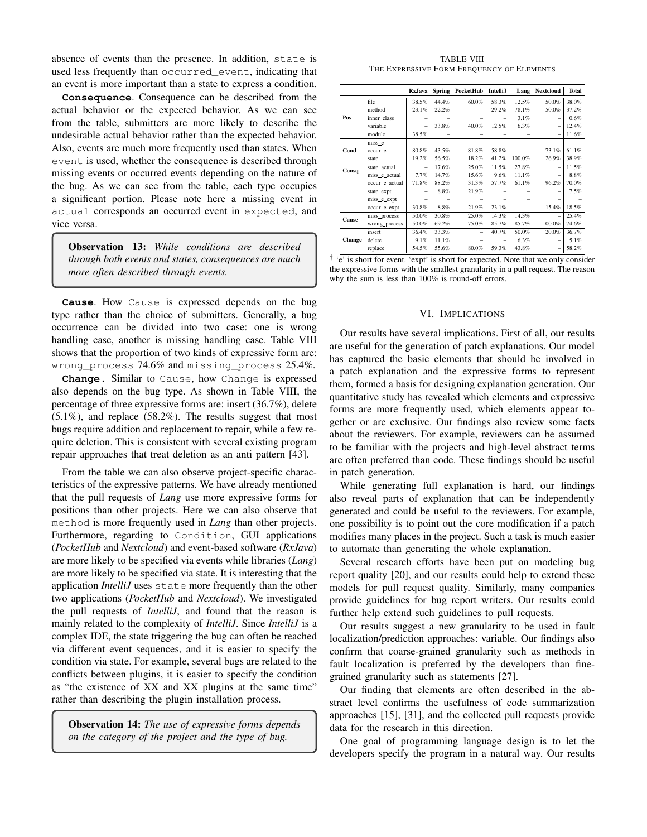absence of events than the presence. In addition, state is used less frequently than occurred\_event, indicating that an event is more important than a state to express a condition.

**Consequence**. Consequence can be described from the actual behavior or the expected behavior. As we can see from the table, submitters are more likely to describe the undesirable actual behavior rather than the expected behavior. Also, events are much more frequently used than states. When event is used, whether the consequence is described through missing events or occurred events depending on the nature of the bug. As we can see from the table, each type occupies a significant portion. Please note here a missing event in actual corresponds an occurred event in expected, and vice versa.

Observation 13: *While conditions are described through both events and states, consequences are much more often described through events.*

**Cause**. How Cause is expressed depends on the bug type rather than the choice of submitters. Generally, a bug occurrence can be divided into two case: one is wrong handling case, another is missing handling case. Table VIII shows that the proportion of two kinds of expressive form are: wrong\_process 74.6% and missing\_process 25.4%.

**Change.** Similar to Cause, how Change is expressed also depends on the bug type. As shown in Table VIII, the percentage of three expressive forms are: insert (36.7%), delete (5.1%), and replace (58.2%). The results suggest that most bugs require addition and replacement to repair, while a few require deletion. This is consistent with several existing program repair approaches that treat deletion as an anti pattern [43].

From the table we can also observe project-specific characteristics of the expressive patterns. We have already mentioned that the pull requests of *Lang* use more expressive forms for positions than other projects. Here we can also observe that method is more frequently used in *Lang* than other projects. Furthermore, regarding to Condition, GUI applications (*PocketHub* and *Nextcloud*) and event-based software (*RxJava*) are more likely to be specified via events while libraries (*Lang*) are more likely to be specified via state. It is interesting that the application *IntelliJ* uses state more frequently than the other two applications (*PocketHub* and *Nextcloud*). We investigated the pull requests of *IntelliJ*, and found that the reason is mainly related to the complexity of *IntelliJ*. Since *IntelliJ* is a complex IDE, the state triggering the bug can often be reached via different event sequences, and it is easier to specify the condition via state. For example, several bugs are related to the conflicts between plugins, it is easier to specify the condition as "the existence of XX and XX plugins at the same time" rather than describing the plugin installation process.

Observation 14: *The use of expressive forms depends on the category of the project and the type of bug.*

TABLE VIII THE EXPRESSIVE FORM FREQUENCY OF ELEMENTS

|               |                | Rx, Java | <b>Spring</b> | PocketHub                | <b>Intelli,J</b> | Lang   | Nextcloud      | Total |
|---------------|----------------|----------|---------------|--------------------------|------------------|--------|----------------|-------|
|               | file           | 38.5%    | 44.4%         | 60.0%                    | 58.3%            | 12.5%  | 50.0%          | 38.0% |
|               | method         | 23.1%    | 22.2%         |                          | 29.2%            | 78.1%  | 50.0%          | 37.2% |
| Pos           | inner_class    |          |               |                          |                  | 3.1%   |                | 0.6%  |
|               | variable       |          | 33.8%         | 40.0%                    | 12.5%            | 6.3%   |                | 12.4% |
|               | module         | 38.5%    |               |                          |                  |        |                | 11.6% |
|               | miss_e         |          |               |                          |                  |        |                |       |
| Cond          | occur e        | 80.8%    | 43.5%         | 81.8%                    | 58.8%            |        | 73.1%          | 61.1% |
|               | state          | 19.2%    | 56.5%         | 18.2%                    | 41.2%            | 100.0% | 26.9%          | 38.9% |
| Consq         | state_actual   | $\equiv$ | 17.6%         | 25.0%                    | 11.5%            | 27.8%  | $\overline{a}$ | 11.5% |
|               | miss e actual  | 7.7%     | 14.7%         | 15.6%                    | 9.6%             | 11.1%  | -              | 8.8%  |
|               | occur e actual | 71.8%    | 88.2%         | 31.3%                    | 57.7%            | 61.1%  | 96.2%          | 70.0% |
|               | state_expt     |          | 8.8%          | 21.9%                    |                  |        |                | 7.5%  |
|               | miss e expt    |          |               |                          |                  |        |                |       |
|               | occur_e_expt   | 30.8%    | 8.8%          | 21.9%                    | 23.1%            |        | 15.4%          | 18.5% |
| Cause         | miss_process   | 50.0%    | 30.8%         | 25.0%                    | 14.3%            | 14.3%  |                | 25.4% |
|               | wrong_process  | 50.0%    | 69.2%         | 75.0%                    | 85.7%            | 85.7%  | 100.0%         | 74.6% |
|               | insert         | 36.4%    | 33.3%         | $\overline{\phantom{0}}$ | 40.7%            | 50.0%  | 20.0%          | 36.7% |
| <b>Change</b> | delete         | 9.1%     | 11.1%         |                          |                  | 6.3%   |                | 5.1%  |
|               | replace        | 54.5%    | 55.6%         | 80.0%                    | 59.3%            | 43.8%  |                | 58.2% |

<sup>†</sup> 'e' is short for event. 'expt' is short for expected. Note that we only consider the expressive forms with the smallest granularity in a pull request. The reason why the sum is less than 100% is round-off errors.

# VI. IMPLICATIONS

Our results have several implications. First of all, our results are useful for the generation of patch explanations. Our model has captured the basic elements that should be involved in a patch explanation and the expressive forms to represent them, formed a basis for designing explanation generation. Our quantitative study has revealed which elements and expressive forms are more frequently used, which elements appear together or are exclusive. Our findings also review some facts about the reviewers. For example, reviewers can be assumed to be familiar with the projects and high-level abstract terms are often preferred than code. These findings should be useful in patch generation.

While generating full explanation is hard, our findings also reveal parts of explanation that can be independently generated and could be useful to the reviewers. For example, one possibility is to point out the core modification if a patch modifies many places in the project. Such a task is much easier to automate than generating the whole explanation.

Several research efforts have been put on modeling bug report quality [20], and our results could help to extend these models for pull request quality. Similarly, many companies provide guidelines for bug report writers. Our results could further help extend such guidelines to pull requests.

Our results suggest a new granularity to be used in fault localization/prediction approaches: variable. Our findings also confirm that coarse-grained granularity such as methods in fault localization is preferred by the developers than finegrained granularity such as statements [27].

Our finding that elements are often described in the abstract level confirms the usefulness of code summarization approaches [15], [31], and the collected pull requests provide data for the research in this direction.

One goal of programming language design is to let the developers specify the program in a natural way. Our results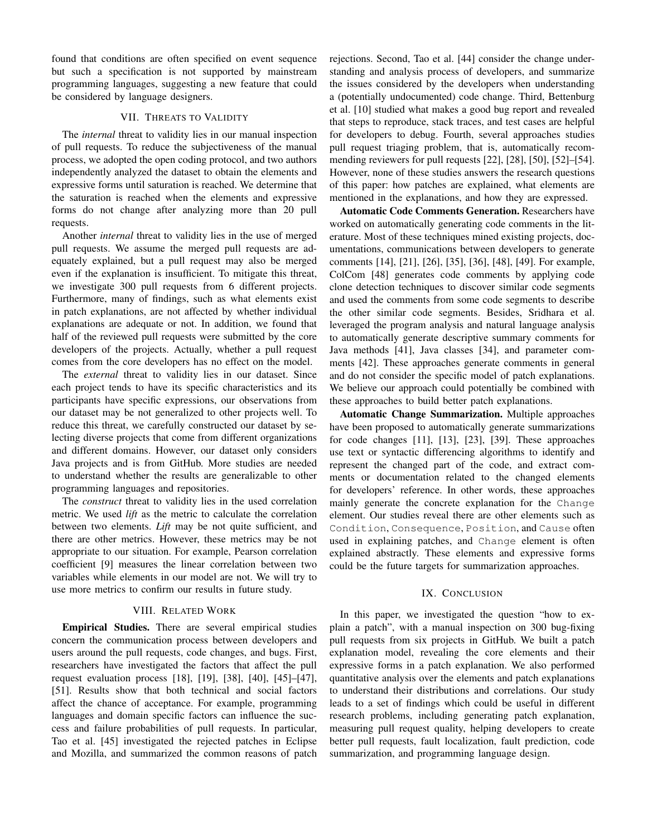found that conditions are often specified on event sequence but such a specification is not supported by mainstream programming languages, suggesting a new feature that could be considered by language designers.

# VII. THREATS TO VALIDITY

The *internal* threat to validity lies in our manual inspection of pull requests. To reduce the subjectiveness of the manual process, we adopted the open coding protocol, and two authors independently analyzed the dataset to obtain the elements and expressive forms until saturation is reached. We determine that the saturation is reached when the elements and expressive forms do not change after analyzing more than 20 pull requests.

Another *internal* threat to validity lies in the use of merged pull requests. We assume the merged pull requests are adequately explained, but a pull request may also be merged even if the explanation is insufficient. To mitigate this threat, we investigate 300 pull requests from 6 different projects. Furthermore, many of findings, such as what elements exist in patch explanations, are not affected by whether individual explanations are adequate or not. In addition, we found that half of the reviewed pull requests were submitted by the core developers of the projects. Actually, whether a pull request comes from the core developers has no effect on the model.

The *external* threat to validity lies in our dataset. Since each project tends to have its specific characteristics and its participants have specific expressions, our observations from our dataset may be not generalized to other projects well. To reduce this threat, we carefully constructed our dataset by selecting diverse projects that come from different organizations and different domains. However, our dataset only considers Java projects and is from GitHub. More studies are needed to understand whether the results are generalizable to other programming languages and repositories.

The *construct* threat to validity lies in the used correlation metric. We used *lift* as the metric to calculate the correlation between two elements. *Lift* may be not quite sufficient, and there are other metrics. However, these metrics may be not appropriate to our situation. For example, Pearson correlation coefficient [9] measures the linear correlation between two variables while elements in our model are not. We will try to use more metrics to confirm our results in future study.

## VIII. RELATED WORK

Empirical Studies. There are several empirical studies concern the communication process between developers and users around the pull requests, code changes, and bugs. First, researchers have investigated the factors that affect the pull request evaluation process [18], [19], [38], [40], [45]–[47], [51]. Results show that both technical and social factors affect the chance of acceptance. For example, programming languages and domain specific factors can influence the success and failure probabilities of pull requests. In particular, Tao et al. [45] investigated the rejected patches in Eclipse and Mozilla, and summarized the common reasons of patch rejections. Second, Tao et al. [44] consider the change understanding and analysis process of developers, and summarize the issues considered by the developers when understanding a (potentially undocumented) code change. Third, Bettenburg et al. [10] studied what makes a good bug report and revealed that steps to reproduce, stack traces, and test cases are helpful for developers to debug. Fourth, several approaches studies pull request triaging problem, that is, automatically recommending reviewers for pull requests [22], [28], [50], [52]–[54]. However, none of these studies answers the research questions of this paper: how patches are explained, what elements are mentioned in the explanations, and how they are expressed.

Automatic Code Comments Generation. Researchers have worked on automatically generating code comments in the literature. Most of these techniques mined existing projects, documentations, communications between developers to generate comments [14], [21], [26], [35], [36], [48], [49]. For example, ColCom [48] generates code comments by applying code clone detection techniques to discover similar code segments and used the comments from some code segments to describe the other similar code segments. Besides, Sridhara et al. leveraged the program analysis and natural language analysis to automatically generate descriptive summary comments for Java methods [41], Java classes [34], and parameter comments [42]. These approaches generate comments in general and do not consider the specific model of patch explanations. We believe our approach could potentially be combined with these approaches to build better patch explanations.

Automatic Change Summarization. Multiple approaches have been proposed to automatically generate summarizations for code changes [11], [13], [23], [39]. These approaches use text or syntactic differencing algorithms to identify and represent the changed part of the code, and extract comments or documentation related to the changed elements for developers' reference. In other words, these approaches mainly generate the concrete explanation for the Change element. Our studies reveal there are other elements such as Condition, Consequence, Position, and Cause often used in explaining patches, and Change element is often explained abstractly. These elements and expressive forms could be the future targets for summarization approaches.

## IX. CONCLUSION

In this paper, we investigated the question "how to explain a patch", with a manual inspection on 300 bug-fixing pull requests from six projects in GitHub. We built a patch explanation model, revealing the core elements and their expressive forms in a patch explanation. We also performed quantitative analysis over the elements and patch explanations to understand their distributions and correlations. Our study leads to a set of findings which could be useful in different research problems, including generating patch explanation, measuring pull request quality, helping developers to create better pull requests, fault localization, fault prediction, code summarization, and programming language design.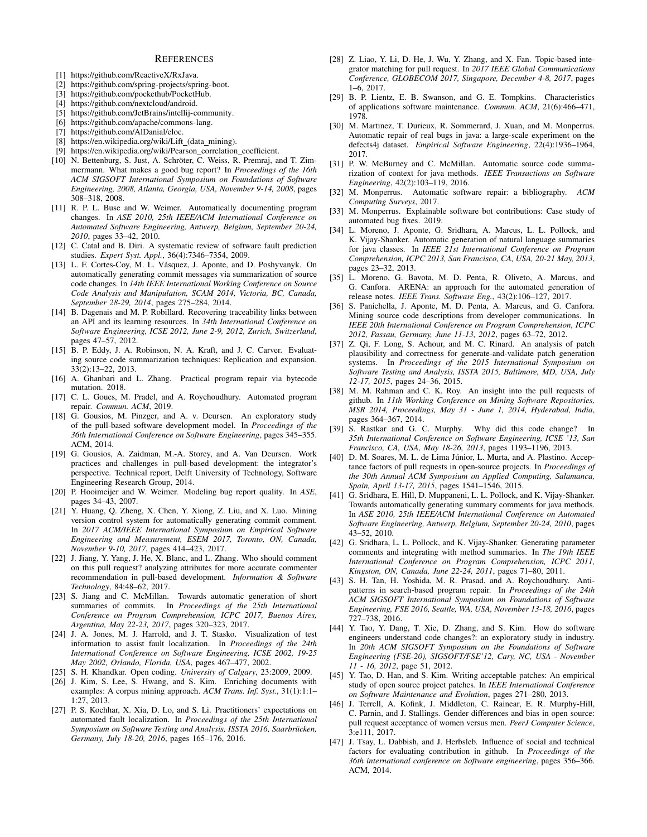#### **REFERENCES**

- [1] https://github.com/ReactiveX/RxJava.
- [2] https://github.com/spring-projects/spring-boot.
- [3] https://github.com/pockethub/PocketHub.
- [4] https://github.com/nextcloud/android.
- [5] https://github.com/JetBrains/intellij-community.
- [6] https://github.com/apache/commons-lang.
- [7] https://github.com/AlDanial/cloc.
- [8] https://en.wikipedia.org/wiki/Lift\_(data\_mining).
- [9] https://en.wikipedia.org/wiki/Pearson\_correlation\_coefficient.
- [10] N. Bettenburg, S. Just, A. Schröter, C. Weiss, R. Premraj, and T. Zimmermann. What makes a good bug report? In *Proceedings of the 16th ACM SIGSOFT International Symposium on Foundations of Software Engineering, 2008, Atlanta, Georgia, USA, November 9-14, 2008*, pages 308–318, 2008.
- [11] R. P. L. Buse and W. Weimer. Automatically documenting program changes. In *ASE 2010, 25th IEEE/ACM International Conference on Automated Software Engineering, Antwerp, Belgium, September 20-24, 2010*, pages 33–42, 2010.
- [12] C. Catal and B. Diri. A systematic review of software fault prediction studies. *Expert Syst. Appl.*, 36(4):7346–7354, 2009.
- [13] L. F. Cortes-Coy, M. L. Vásquez, J. Aponte, and D. Poshyvanyk. On automatically generating commit messages via summarization of source code changes. In *14th IEEE International Working Conference on Source Code Analysis and Manipulation, SCAM 2014, Victoria, BC, Canada, September 28-29, 2014*, pages 275–284, 2014.
- [14] B. Dagenais and M. P. Robillard. Recovering traceability links between an API and its learning resources. In *34th International Conference on Software Engineering, ICSE 2012, June 2-9, 2012, Zurich, Switzerland*, pages 47–57, 2012.
- [15] B. P. Eddy, J. A. Robinson, N. A. Kraft, and J. C. Carver. Evaluating source code summarization techniques: Replication and expansion. 33(2):13–22, 2013.
- [16] A. Ghanbari and L. Zhang. Practical program repair via bytecode mutation. 2018.
- [17] C. L. Goues, M. Pradel, and A. Roychoudhury. Automated program repair. *Commun. ACM*, 2019.
- [18] G. Gousios, M. Pinzger, and A. v. Deursen. An exploratory study of the pull-based software development model. In *Proceedings of the 36th International Conference on Software Engineering*, pages 345–355. ACM, 2014.
- [19] G. Gousios, A. Zaidman, M.-A. Storey, and A. Van Deursen. Work practices and challenges in pull-based development: the integrator's perspective. Technical report, Delft University of Technology, Software Engineering Research Group, 2014.
- [20] P. Hooimeijer and W. Weimer. Modeling bug report quality. In *ASE*, pages 34–43, 2007.
- [21] Y. Huang, Q. Zheng, X. Chen, Y. Xiong, Z. Liu, and X. Luo. Mining version control system for automatically generating commit comment. In *2017 ACM/IEEE International Symposium on Empirical Software Engineering and Measurement, ESEM 2017, Toronto, ON, Canada, November 9-10, 2017*, pages 414–423, 2017.
- [22] J. Jiang, Y. Yang, J. He, X. Blanc, and L. Zhang. Who should comment on this pull request? analyzing attributes for more accurate commenter recommendation in pull-based development. *Information & Software Technology*, 84:48–62, 2017.
- [23] S. Jiang and C. McMillan. Towards automatic generation of short summaries of commits. In *Proceedings of the 25th International Conference on Program Comprehension, ICPC 2017, Buenos Aires, Argentina, May 22-23, 2017*, pages 320–323, 2017.
- [24] J. A. Jones, M. J. Harrold, and J. T. Stasko. Visualization of test information to assist fault localization. In *Proceedings of the 24th International Conference on Software Engineering, ICSE 2002, 19-25 May 2002, Orlando, Florida, USA*, pages 467–477, 2002.
- [25] S. H. Khandkar. Open coding. *University of Calgary*, 23:2009, 2009.
- [26] J. Kim, S. Lee, S. Hwang, and S. Kim. Enriching documents with examples: A corpus mining approach. *ACM Trans. Inf. Syst.*, 31(1):1:1– 1:27, 2013.
- [27] P. S. Kochhar, X. Xia, D. Lo, and S. Li. Practitioners' expectations on automated fault localization. In *Proceedings of the 25th International Symposium on Software Testing and Analysis, ISSTA 2016, Saarbrucken, ¨ Germany, July 18-20, 2016*, pages 165–176, 2016.
- [28] Z. Liao, Y. Li, D. He, J. Wu, Y. Zhang, and X. Fan. Topic-based integrator matching for pull request. In *2017 IEEE Global Communications Conference, GLOBECOM 2017, Singapore, December 4-8, 2017*, pages 1–6, 2017.
- [29] B. P. Lientz, E. B. Swanson, and G. E. Tompkins. Characteristics of applications software maintenance. *Commun. ACM*, 21(6):466–471, 1978.
- [30] M. Martinez, T. Durieux, R. Sommerard, J. Xuan, and M. Monperrus. Automatic repair of real bugs in java: a large-scale experiment on the defects4j dataset. *Empirical Software Engineering*, 22(4):1936–1964, 2017.
- [31] P. W. McBurney and C. McMillan. Automatic source code summarization of context for java methods. *IEEE Transactions on Software Engineering*, 42(2):103–119, 2016.
- [32] M. Monperrus. Automatic software repair: a bibliography. *ACM Computing Surveys*, 2017.
- [33] M. Monperrus. Explainable software bot contributions: Case study of automated bug fixes. 2019.
- [34] L. Moreno, J. Aponte, G. Sridhara, A. Marcus, L. L. Pollock, and K. Vijay-Shanker. Automatic generation of natural language summaries for java classes. In *IEEE 21st International Conference on Program Comprehension, ICPC 2013, San Francisco, CA, USA, 20-21 May, 2013*, pages 23–32, 2013.
- [35] L. Moreno, G. Bavota, M. D. Penta, R. Oliveto, A. Marcus, and G. Canfora. ARENA: an approach for the automated generation of release notes. *IEEE Trans. Software Eng.*, 43(2):106–127, 2017.
- [36] S. Panichella, J. Aponte, M. D. Penta, A. Marcus, and G. Canfora. Mining source code descriptions from developer communications. In *IEEE 20th International Conference on Program Comprehension, ICPC 2012, Passau, Germany, June 11-13, 2012*, pages 63–72, 2012.
- [37] Z. Qi, F. Long, S. Achour, and M. C. Rinard. An analysis of patch plausibility and correctness for generate-and-validate patch generation systems. In *Proceedings of the 2015 International Symposium on Software Testing and Analysis, ISSTA 2015, Baltimore, MD, USA, July 12-17, 2015*, pages 24–36, 2015.
- [38] M. M. Rahman and C. K. Roy. An insight into the pull requests of github. In *11th Working Conference on Mining Software Repositories, MSR 2014, Proceedings, May 31 - June 1, 2014, Hyderabad, India*, pages 364–367, 2014.
- [39] S. Rastkar and G. C. Murphy. Why did this code change? In *35th International Conference on Software Engineering, ICSE '13, San Francisco, CA, USA, May 18-26, 2013*, pages 1193–1196, 2013.
- [40] D. M. Soares, M. L. de Lima Júnior, L. Murta, and A. Plastino. Acceptance factors of pull requests in open-source projects. In *Proceedings of the 30th Annual ACM Symposium on Applied Computing, Salamanca, Spain, April 13-17, 2015*, pages 1541–1546, 2015.
- [41] G. Sridhara, E. Hill, D. Muppaneni, L. L. Pollock, and K. Vijay-Shanker. Towards automatically generating summary comments for java methods. In *ASE 2010, 25th IEEE/ACM International Conference on Automated Software Engineering, Antwerp, Belgium, September 20-24, 2010*, pages 43–52, 2010.
- [42] G. Sridhara, L. L. Pollock, and K. Vijay-Shanker. Generating parameter comments and integrating with method summaries. In *The 19th IEEE International Conference on Program Comprehension, ICPC 2011, Kingston, ON, Canada, June 22-24, 2011*, pages 71–80, 2011.
- [43] S. H. Tan, H. Yoshida, M. R. Prasad, and A. Roychoudhury. Antipatterns in search-based program repair. In *Proceedings of the 24th ACM SIGSOFT International Symposium on Foundations of Software Engineering, FSE 2016, Seattle, WA, USA, November 13-18, 2016*, pages 727–738, 2016.
- [44] Y. Tao, Y. Dang, T. Xie, D. Zhang, and S. Kim. How do software engineers understand code changes?: an exploratory study in industry. In *20th ACM SIGSOFT Symposium on the Foundations of Software Engineering (FSE-20), SIGSOFT/FSE'12, Cary, NC, USA - November 11 - 16, 2012*, page 51, 2012.
- [45] Y. Tao, D. Han, and S. Kim. Writing acceptable patches: An empirical study of open source project patches. In *IEEE International Conference on Software Maintenance and Evolution*, pages 271–280, 2013.
- [46] J. Terrell, A. Kofink, J. Middleton, C. Rainear, E. R. Murphy-Hill, C. Parnin, and J. Stallings. Gender differences and bias in open source: pull request acceptance of women versus men. *PeerJ Computer Science*, 3:e111, 2017.
- [47] J. Tsay, L. Dabbish, and J. Herbsleb. Influence of social and technical factors for evaluating contribution in github. In *Proceedings of the 36th international conference on Software engineering*, pages 356–366. ACM, 2014.